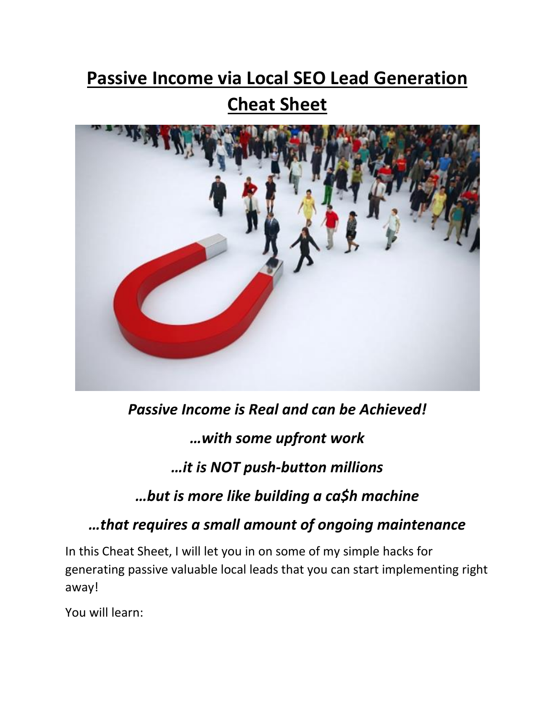# **Passive Income via Local SEO Lead Generation Cheat Sheet**



*Passive Income is Real and can be Achieved! …with some upfront work*

# *…it is NOT push-button millions*

## *…but is more like building a ca\$h machine*

*…that requires a small amount of ongoing maintenance* 

In this Cheat Sheet, I will let you in on some of my simple hacks for generating passive valuable local leads that you can start implementing right away!

You will learn: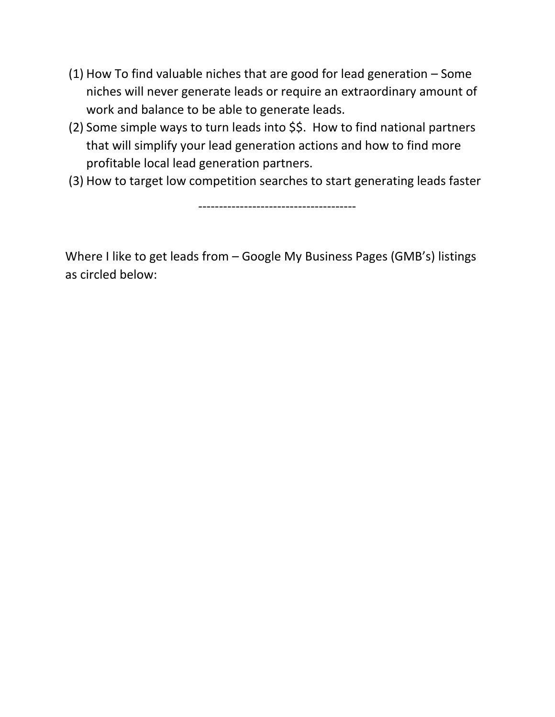- (1) How To find valuable niches that are good for lead generation Some niches will never generate leads or require an extraordinary amount of work and balance to be able to generate leads.
- (2) Some simple ways to turn leads into \$\$. How to find national partners that will simplify your lead generation actions and how to find more profitable local lead generation partners.
- (3) How to target low competition searches to start generating leads faster

--------------------------------------

Where I like to get leads from – Google My Business Pages (GMB's) listings as circled below: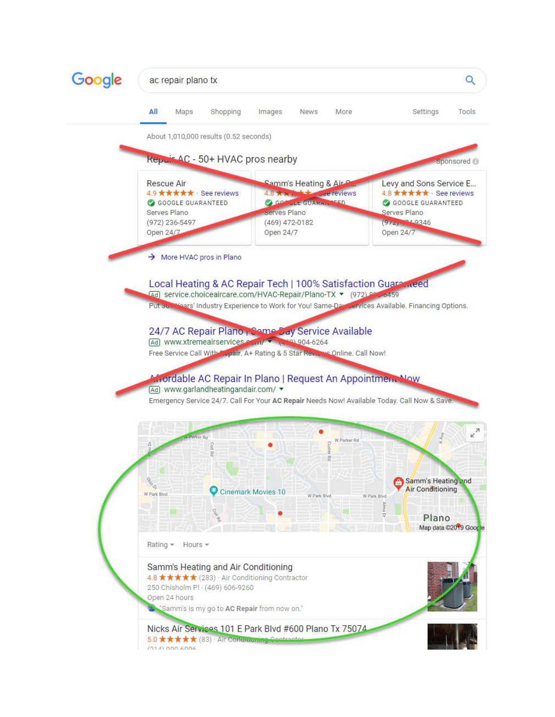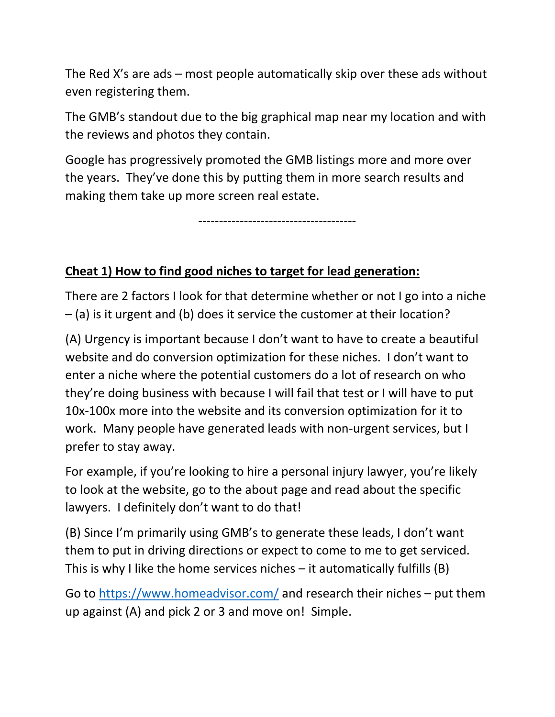The Red X's are ads – most people automatically skip over these ads without even registering them.

The GMB's standout due to the big graphical map near my location and with the reviews and photos they contain.

Google has progressively promoted the GMB listings more and more over the years. They've done this by putting them in more search results and making them take up more screen real estate.

--------------------------------------

#### **Cheat 1) How to find good niches to target for lead generation:**

There are 2 factors I look for that determine whether or not I go into a niche – (a) is it urgent and (b) does it service the customer at their location?

(A) Urgency is important because I don't want to have to create a beautiful website and do conversion optimization for these niches. I don't want to enter a niche where the potential customers do a lot of research on who they're doing business with because I will fail that test or I will have to put 10x-100x more into the website and its conversion optimization for it to work. Many people have generated leads with non-urgent services, but I prefer to stay away.

For example, if you're looking to hire a personal injury lawyer, you're likely to look at the website, go to the about page and read about the specific lawyers. I definitely don't want to do that!

(B) Since I'm primarily using GMB's to generate these leads, I don't want them to put in driving directions or expect to come to me to get serviced. This is why I like the home services niches  $-$  it automatically fulfills (B)

Go to<https://www.homeadvisor.com/>and research their niches – put them up against (A) and pick 2 or 3 and move on! Simple.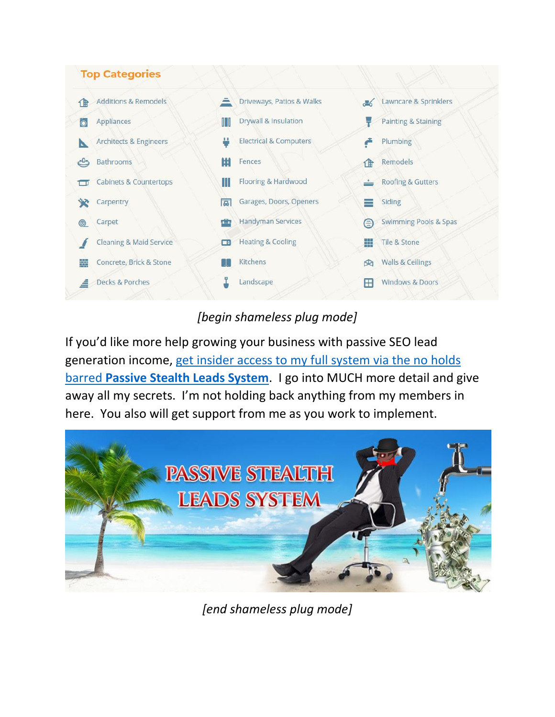

#### *[begin shameless plug mode]*

If you'd like more help growing your business with passive SEO lead generation income, [get insider access to my full system via the no holds](https://digitaldominationdojo.com/buy-passive-stealth-leads-system)  barred **[Passive Stealth Leads System](https://digitaldominationdojo.com/buy-passive-stealth-leads-system)**. I go into MUCH more detail and give away all my secrets. I'm not holding back anything from my members in here. You also will get support from me as you work to implement.



*[end shameless plug mode]*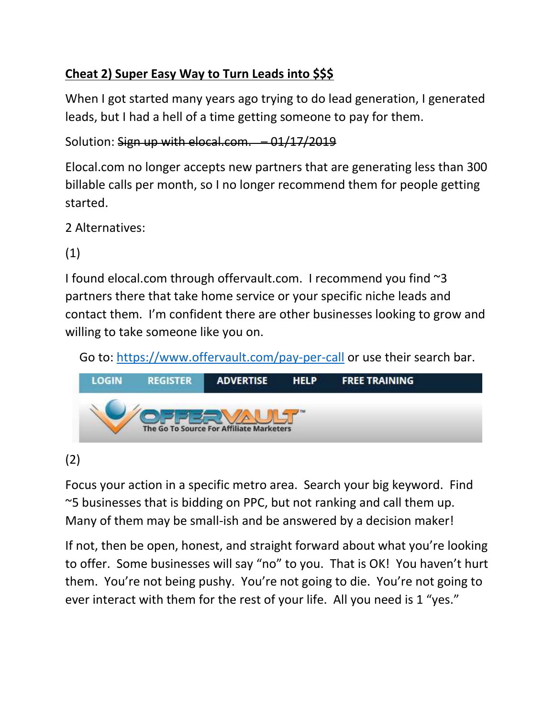## **Cheat 2) Super Easy Way to Turn Leads into \$\$\$**

When I got started many years ago trying to do lead generation, I generated leads, but I had a hell of a time getting someone to pay for them.

Solution: Sign up with elocal.com. - 01/17/2019

Elocal.com no longer accepts new partners that are generating less than 300 billable calls per month, so I no longer recommend them for people getting started.

2 Alternatives:

(1)

I found elocal.com through offervault.com. I recommend you find ~3 partners there that take home service or your specific niche leads and contact them. I'm confident there are other businesses looking to grow and willing to take someone like you on.

Go to:<https://www.offervault.com/pay-per-call>or use their search bar.



## (2)

Focus your action in a specific metro area. Search your big keyword. Find ~5 businesses that is bidding on PPC, but not ranking and call them up. Many of them may be small-ish and be answered by a decision maker!

If not, then be open, honest, and straight forward about what you're looking to offer. Some businesses will say "no" to you. That is OK! You haven't hurt them. You're not being pushy. You're not going to die. You're not going to ever interact with them for the rest of your life. All you need is 1 "yes."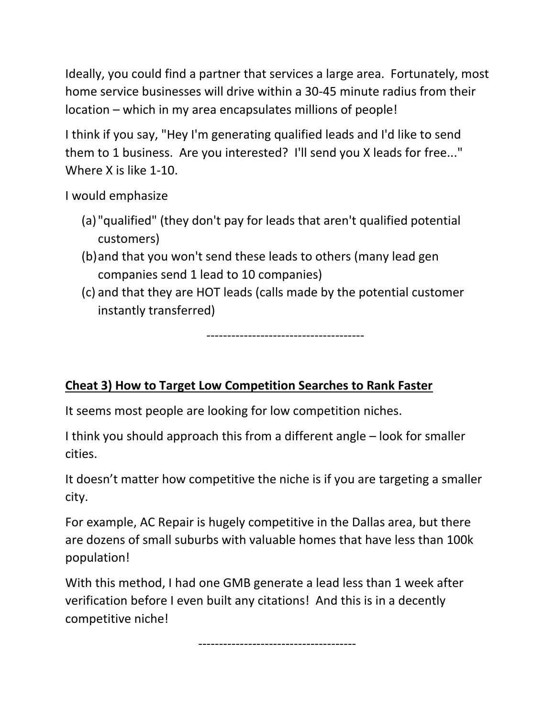Ideally, you could find a partner that services a large area. Fortunately, most home service businesses will drive within a 30-45 minute radius from their location – which in my area encapsulates millions of people!

I think if you say, "Hey I'm generating qualified leads and I'd like to send them to 1 business. Are you interested? I'll send you X leads for free..." Where X is like 1-10.

I would emphasize

- (a) "qualified" (they don't pay for leads that aren't qualified potential customers)
- (b)and that you won't send these leads to others (many lead gen companies send 1 lead to 10 companies)
- (c) and that they are HOT leads (calls made by the potential customer instantly transferred)

--------------------------------------

#### **Cheat 3) How to Target Low Competition Searches to Rank Faster**

It seems most people are looking for low competition niches.

I think you should approach this from a different angle – look for smaller cities.

It doesn't matter how competitive the niche is if you are targeting a smaller city.

For example, AC Repair is hugely competitive in the Dallas area, but there are dozens of small suburbs with valuable homes that have less than 100k population!

With this method, I had one GMB generate a lead less than 1 week after verification before I even built any citations! And this is in a decently competitive niche!

--------------------------------------